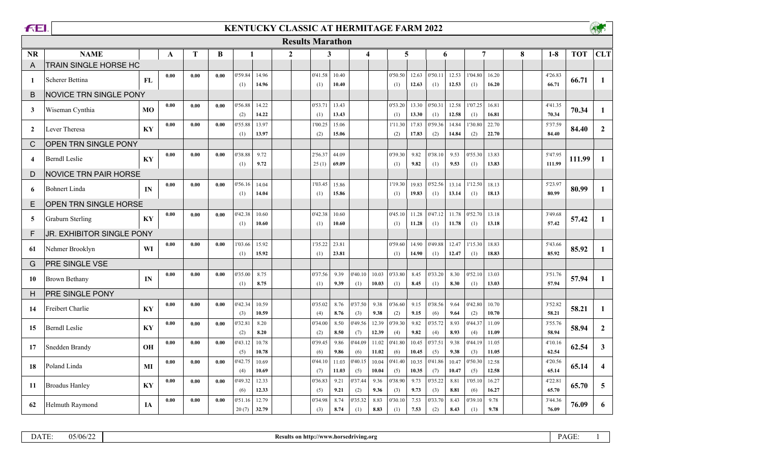| <b>FEI</b>     |                               |           |      |      |      |                |                |                | <b>KENTUCKY CLASSIC AT HERMITAGE FARM 2022</b> |                |                |                         |                |                |                |                |                |                |   |                   | <b>ASP</b> |                         |  |
|----------------|-------------------------------|-----------|------|------|------|----------------|----------------|----------------|------------------------------------------------|----------------|----------------|-------------------------|----------------|----------------|----------------|----------------|----------------|----------------|---|-------------------|------------|-------------------------|--|
|                |                               |           |      |      |      |                |                |                | <b>Results Marathon</b>                        |                |                |                         |                |                |                |                |                |                |   |                   |            |                         |  |
| <b>NR</b>      | <b>NAME</b>                   |           | A    | T    | B    | $\mathbf{1}$   |                | $\overline{2}$ | 3                                              |                |                | $\overline{\mathbf{4}}$ | 5              |                | 6              |                |                | 7              | 8 | $1 - 8$           | <b>TOT</b> | <b>CLT</b>              |  |
| A              | TRAIN SINGLE HORSE HC         |           |      |      |      |                |                |                |                                                |                |                |                         |                |                |                |                |                |                |   |                   |            |                         |  |
| -1             | Scherer Bettina               | FL        | 0.00 | 0.00 | 0.00 | 0'59.84<br>(1) | 14.96<br>14.96 |                | 0'41.58<br>(1)                                 | 10.40<br>10.40 |                |                         | 0'50.50<br>(1) | 12.63<br>12.63 | 0'50.11<br>(1) | 12.53<br>12.53 | 1'04.80<br>(1) | 16.20<br>16.20 |   | 4'26.83<br>66.71  | 66.71      | $\mathbf{1}$            |  |
| B              | <b>NOVICE TRN SINGLE PONY</b> |           |      |      |      |                |                |                |                                                |                |                |                         |                |                |                |                |                |                |   |                   |            |                         |  |
| 3              | Wiseman Cynthia               | MO        | 0.00 | 0.00 | 0.00 | 0'56.88<br>(2) | 14.22<br>14.22 |                | 0'53.71<br>(1)                                 | 13.43<br>13.43 |                |                         | 0'53.20<br>(1) | 13.30<br>13.30 | 0'50.31<br>(1) | 12.58<br>12.58 | 1'07.25<br>(1) | 16.81<br>16.81 |   | 4'41.35<br>70.34  | 70.34      | -1                      |  |
| 2              | Lever Theresa                 | KY        | 0.00 | 0.00 | 0.00 | 0'55.88<br>(1) | 13.97<br>13.97 |                | 1'00.25<br>(2)                                 | 15.06<br>15.06 |                |                         | 1'11.30<br>(2) | 17.83<br>17.83 | 0'59.36<br>(2) | 14.84<br>14.84 | 1'30.80<br>(2) | 22.70<br>22.70 |   | 5'37.59<br>84.40  | 84.40      | $\overline{2}$          |  |
| C              | OPEN TRN SINGLE PONY          |           |      |      |      |                |                |                |                                                |                |                |                         |                |                |                |                |                |                |   |                   |            |                         |  |
| $\overline{4}$ | <b>Berndl Leslie</b>          | KY        | 0.00 | 0.00 | 0.00 | 0'38.88<br>(1) | 9.72<br>9.72   |                | 2'56.37<br>25(1)                               | 44.09<br>69.09 |                |                         | 0'39.30<br>(1) | 9.82<br>9.82   | 0'38.10<br>(1) | 9.53<br>9.53   | 0'55.30<br>(1) | 13.83<br>13.83 |   | 5'47.95<br>111.99 | 111.99     | $\mathbf{1}$            |  |
| D              | <b>NOVICE TRN PAIR HORSE</b>  |           |      |      |      |                |                |                |                                                |                |                |                         |                |                |                |                |                |                |   |                   |            |                         |  |
| 6              | <b>Bohnert Linda</b>          | IN        | 0.00 | 0.00 | 0.00 | 0'56.16<br>(1) | 14.04<br>14.04 |                | 1'03.45<br>(1)                                 | 15.86<br>15.86 |                |                         | 1'19.30<br>(1) | 19.83<br>19.83 | 0'52.56<br>(1) | 13.14<br>13.14 | 1'12.50<br>(1) | 18.13<br>18.13 |   | 5'23.97<br>80.99  | 80.99      | -1                      |  |
| E              | OPEN TRN SINGLE HORSE         |           |      |      |      |                |                |                |                                                |                |                |                         |                |                |                |                |                |                |   |                   |            |                         |  |
| 5              | <b>Graburn Sterling</b>       | KY        | 0.00 | 0.00 | 0.00 | 0'42.38<br>(1) | 10.60<br>10.60 |                | 0'42.38<br>(1)                                 | 10.60<br>10.60 |                |                         | 0'45.10<br>(1) | 11.28<br>11.28 | 0'47.12<br>(1) | 11.78<br>11.78 | 0'52.70<br>(1) | 13.18<br>13.18 |   | 3'49.68<br>57.42  | 57.42      | -1                      |  |
| F              | JR. EXHIBITOR SINGLE PONY     |           |      |      |      |                |                |                |                                                |                |                |                         |                |                |                |                |                |                |   |                   |            |                         |  |
| -61            | Nehmer Brooklyn               | WI        | 0.00 | 0.00 | 0.00 | 1'03.66<br>(1) | 15.92<br>15.92 |                | 1'35.22<br>(1)                                 | 23.81<br>23.81 |                |                         | 0'59.60<br>(1) | 14.90<br>14.90 | 0'49.88<br>(1) | 12.47<br>12.47 | 1'15.30<br>(1) | 18.83<br>18.83 |   | 5'43.66<br>85.92  | 85.92      | -1                      |  |
| G              | PRE SINGLE VSE                |           |      |      |      |                |                |                |                                                |                |                |                         |                |                |                |                |                |                |   |                   |            |                         |  |
| 10             | Brown Bethany                 | IN        | 0.00 | 0.00 | 0.00 | 0'35.00<br>(1) | 8.75<br>8.75   |                | 0'37.56<br>(1)                                 | 9.39<br>9.39   | 0'40.10<br>(1) | 10.03<br>10.03          | 0'33.80<br>(1) | 8.45<br>8.45   | 0'33.20<br>(1) | 8.30<br>8.30   | 0'52.10<br>(1) | 13.03<br>13.03 |   | 3'51.76<br>57.94  | 57.94      | $\mathbf{1}$            |  |
| н              | PRE SINGLE PONY               |           |      |      |      |                |                |                |                                                |                |                |                         |                |                |                |                |                |                |   |                   |            |                         |  |
| 14             | Freibert Charlie              | KY        | 0.00 | 0.00 | 0.00 | 0'42.34<br>(3) | 10.59<br>10.59 |                | 0'35.02<br>(4)                                 | 8.76<br>8.76   | 0'37.50<br>(3) | 9.38<br>9.38            | 0'36.60<br>(2) | 9.15<br>9.15   | 0'38.56<br>(6) | 9.64<br>9.64   | 0'42.80<br>(2) | 10.70<br>10.70 |   | 3'52.82<br>58.21  | 58.21      | $\mathbf{1}$            |  |
| 15             | <b>Berndl Leslie</b>          | KY        | 0.00 | 0.00 | 0.00 | 0'32.81<br>(2) | 8.20<br>8.20   |                | 0'34.00<br>(2)                                 | 8.50<br>8.50   | 0'49.56<br>(7) | 12.39<br>12.39          | 0'39.30<br>(4) | 9.82<br>9.82   | 0'35.72<br>(4) | 8.93<br>8.93   | 0'44.37<br>(4) | 11.09<br>11.09 |   | 3'55.76<br>58.94  | 58.94      | $\overline{2}$          |  |
| 17             | Snedden Brandy                | <b>OH</b> | 0.00 | 0.00 | 0.00 | 0'43.12<br>(5) | 10.78<br>10.78 |                | 0'39.45<br>(6)                                 | 9.86<br>9.86   | 0'44.09<br>(6) | 11.02<br>11.02          | 0'41.80<br>(6) | 10.45<br>10.45 | 0'37.51<br>(5) | 9.38<br>9.38   | 0'44.19<br>(3) | 11.05<br>11.05 |   | 4'10.16<br>62.54  | 62.54      | $\mathbf{3}$            |  |
| 18             | Poland Linda                  | MI        | 0.00 | 0.00 | 0.00 | 0'42.75<br>(4) | 10.69<br>10.69 |                | 0'44.10<br>(7)                                 | 11.03<br>11.03 | 0'40.15<br>(5) | 10.04<br>10.04          | 0'41.40<br>(5) | 10.35<br>10.35 | 0'41.86<br>(7) | 10.47<br>10.47 | 0'50.30<br>(5) | 12.58<br>12.58 |   | 4'20.56<br>65.14  | 65.14      | $\overline{\mathbf{4}}$ |  |
| 11             | <b>Broadus Hanley</b>         | KY        | 0.00 | 0.00 | 0.00 | 0'49.32<br>(6) | 12.33<br>12.33 |                | 0'36.83<br>(5)                                 | 9.21<br>9.21   | 0'37.44<br>(2) | 9.36<br>9.36            | 0'38.90<br>(3) | 9.73<br>9.73   | 0'35.22<br>(3) | 8.81<br>8.81   | 1'05.10<br>(6) | 16.27<br>16.27 |   | 4'22.81<br>65.70  | 65.70      | 5                       |  |

| . .<br>,, | 05/06/22 | ำ http://www.horsedriving.org<br>Кe<br>ut<br>. on | $\sim$ $\sim$<br><b>PAGE</b> |  |
|-----------|----------|---------------------------------------------------|------------------------------|--|

**0.00 0.00 0.00** 12.79 8.74 8.83 7.53 8.43 9.78 0'51.16 0'34.98 0'35.32 0'30.10 0'33.70 0'39.10 3'44.36

20 (7) (3) (1) (1) (2) (1)

**32.79 8.74 8.74 8.83 8.74 8.83 8.83 8.63 8.83 8.83 8.63 8.43 8.43 8.61 9.78 8.69 8.69** 

**76.09 6**

**62** Helmuth Raymond **IA**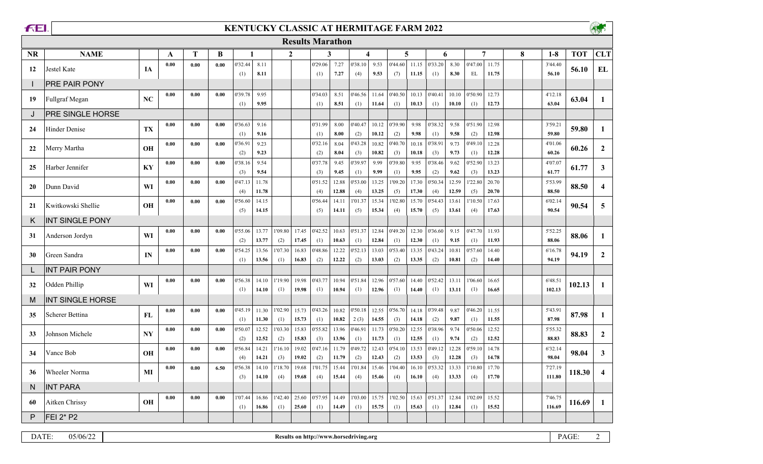$\Gamma$ 

## **KENTUCKY CLASSIC AT HERMITAGE FARM 2022**



|           | <b>Results Marathon</b> |           |      |      |      |                |                |                |                |                |                |                |                |                |                |                |                |                |                |   |                  |            |                         |
|-----------|-------------------------|-----------|------|------|------|----------------|----------------|----------------|----------------|----------------|----------------|----------------|----------------|----------------|----------------|----------------|----------------|----------------|----------------|---|------------------|------------|-------------------------|
| <b>NR</b> | <b>NAME</b>             |           | A    | T    | B    |                |                | $\mathbf{2}$   |                |                | 3              |                | 4              |                | 5              |                | 6              |                | $\overline{7}$ | 8 | $1-8$            | <b>TOT</b> | <b>CLT</b>              |
| 12        | Jestel Kate             | IA        | 0.00 | 0.00 | 0.00 | 0'32.44        | 8.11           |                |                | 0'29.06        | 7.27           | 0'38.10        | 9.53           | 0'44.60        | 11.15          | 0'33.20        | 8.30           | 0'47.00        | 11.75          |   | 3'44.40          | 56.10      | EL                      |
|           | PRE PAIR PONY           |           |      |      |      | (1)            | 8.11           |                |                | (1)            | 7.27           | (4)            | 9.53           | (7)            | 11.15          | (1)            | 8.30           | EL             | 11.75          |   | 56.10            |            |                         |
| 19        | Fullgraf Megan          | NC        | 0.00 | 0.00 | 0.00 | 0'39.78<br>(1) | 9.95<br>9.95   |                |                | 0'34.03<br>(1) | 8.51<br>8.51   | 0'46.56<br>(1) | 11.64<br>11.64 | 0'40.50<br>(1) | 10.13<br>10.13 | 0'40.41<br>(1) | 10.10<br>10.10 | 0'50.90<br>(1) | 12.73<br>12.73 |   | 4'12.18<br>63.04 | 63.04      | $\mathbf{1}$            |
| J         | <b>PRE SINGLE HORSE</b> |           |      |      |      |                |                |                |                |                |                |                |                |                |                |                |                |                |                |   |                  |            |                         |
| 24        | <b>Hinder Denise</b>    | TX        | 0.00 | 0.00 | 0.00 | 0'36.63<br>(1) | 9.16<br>9.16   |                |                | 0'31.99<br>(1) | 8.00<br>8.00   | 0'40.47<br>(2) | 10.12<br>10.12 | 0'39.90<br>(2) | 9.98<br>9.98   | 0'38.32<br>(1) | 9.58<br>9.58   | 0'51.90<br>(2) | 12.98<br>12.98 |   | 3'59.21<br>59.80 | 59.80      | $\mathbf{1}$            |
| 22        | Merry Martha            | <b>OH</b> | 0.00 | 0.00 | 0.00 | 0'36.91        | 9.23<br>9.23   |                |                | 0'32.16        | 8.04<br>8.04   | 0'43.28        | 10.82<br>10.82 | 0'40.70        | 10.18<br>10.18 | 0'38.91        | 9.73<br>9.73   | 0'49.10<br>(1) | 12.28<br>12.28 |   | 4'01.06<br>60.26 | 60.26      | $\overline{2}$          |
| 25        | Harber Jennifer         | KY        | 0.00 | 0.00 | 0.00 | (2)<br>0'38.16 | 9.54           |                |                | (2)<br>0'37.78 | 9.45           | (3)<br>0'39.97 | 9.99           | (3)<br>0'39.80 | 9.95           | (3)<br>0'38.46 | 9.62           | 0'52.90        | 13.23          |   | 4'07.07          | 61.77      | $\mathbf{3}$            |
|           |                         |           |      |      |      | (3)            | 9.54           |                |                | (3)            | 9.45           | (1)            | 9.99           | (1)            | 9.95           | (2)            | 9.62           | (3)            | 13.23          |   | 61.77            |            |                         |
| 20        | Dunn David              | WI        | 0.00 | 0.00 | 0.00 | 0'47.13<br>(4) | 11.78<br>11.78 |                |                | 0'51.52<br>(4) | 12.88<br>12.88 | 0'53.00<br>(4) | 13.25<br>13.25 | 1'09.20<br>(5) | 17.30<br>17.30 | 0'50.34<br>(4) | 12.59<br>12.59 | 1'22.80<br>(5) | 20.70<br>20.70 |   | 5'53.99<br>88.50 | 88.50      | $\overline{\mathbf{4}}$ |
| 21        | Kwitkowski Shellie      | <b>OH</b> | 0.00 | 0.00 | 0.00 | 0'56.60<br>(5) | 14.15<br>14.15 |                |                | 0'56.44<br>(5) | 14.11<br>14.11 | 1'01.37<br>(5) | 15.34<br>15.34 | 1'02.80<br>(4) | 15.70<br>15.70 | 0'54.43<br>(5) | 13.61<br>13.61 | 1'10.50<br>(4) | 17.63<br>17.63 |   | 6'02.14<br>90.54 | 90.54      | 5                       |
| Κ         | <b>INT SINGLE PONY</b>  |           |      |      |      |                |                |                |                |                |                |                |                |                |                |                |                |                |                |   |                  |            |                         |
| 31        | Anderson Jordyn         | WI        | 0.00 | 0.00 | 0.00 | 0'55.06<br>(2) | 13.77<br>13.77 | 1'09.80<br>(2) | 17.45<br>17.45 | 0'42.52<br>(1) | 10.63<br>10.63 | 0'51.37<br>(1) | 12.84<br>12.84 | 0'49.20<br>(1) | 12.30<br>12.30 | 0'36.60<br>(1) | 9.15<br>9.15   | 0'47.70<br>(1) | 11.93<br>11.93 |   | 5'52.25<br>88.06 | 88.06      | 1                       |
| 30        | Green Sandra            | IN        | 0.00 | 0.00 | 0.00 | 0'54.25<br>(1) | 13.56<br>13.56 | 1'07.30<br>(1) | 16.83<br>16.83 | 0'48.86<br>(2) | 12.22<br>12.22 | 0'52.13<br>(2) | 13.03<br>13.03 | 0'53.40<br>(2) | 13.35<br>13.35 | 0'43.24<br>(2) | 10.81<br>10.81 | 0'57.60<br>(2) | 14.40<br>14.40 |   | 6'16.78<br>94.19 | 94.19      | $\boldsymbol{2}$        |
|           | <b>INT PAIR PONY</b>    |           |      |      |      |                |                |                |                |                |                |                |                |                |                |                |                |                |                |   |                  |            |                         |
| 32        | Odden Phillip           | WI        | 0.00 | 0.00 | 0.00 | 0'56.38        | 14.10          | 1'19.90        | 19.98          | 0'43.77        | 10.94          | 0'51.84        | 12.96          | 0'57.60        | 14.40          | 0'52.42        | 13.11          | 1'06.60        | 16.65          |   | 6'48.51          | 102.13     | $\mathbf{1}$            |
| M         | <b>INT SINGLE HORSE</b> |           |      |      |      | (1)            | 14.10          | (1)            | 19.98          | (1)            | 10.94          | (1)            | 12.96          | (1)            | 14.40          | (1)            | 13.11          | (1)            | 16.65          |   | 102.13           |            |                         |
|           |                         |           | 0.00 | 0.00 | 0.00 | 0'45.19        | 11.30          | 1'02.90        | 15.73          | 0'43.26        | 10.82          | 0'50.18        | 12.55          | 0'56.70        | 14.18          | 0'39.48        | 9.87           | 0'46.20        | 11.55          |   | 5'43.91          |            |                         |
| 35        | Scherer Bettina         | FL        |      |      |      | (1)            | 11.30          | (1)            | 15.73          | (1)            | 10.82          | 2(3)           | 14.55          | (3)            | 14.18          | (2)            | 9.87           | (1)            | 11.55          |   | 87.98            | 87.98      | $\mathbf{1}$            |
| 33        | Johnson Michele         | <b>NY</b> | 0.00 | 0.00 | 0.00 | 0'50.07<br>(2) | 12.52<br>12.52 | 1'03.30<br>(2) | 15.83<br>15.83 | 0'55.82<br>(3) | 13.96<br>13.96 | 0'46.91<br>(1) | 11.73<br>11.73 | 0'50.20<br>(1) | 12.55<br>12.55 | 0'38.96<br>(1) | 9.74<br>9.74   | 0'50.06<br>(2) | 12.52<br>12.52 |   | 5'55.32<br>88.83 | 88.83      | $\overline{2}$          |
| 34        | Vance Bob               | <b>OH</b> | 0.00 | 0.00 | 0.00 | 0'56.84<br>(4) | 14.21<br>14.21 | 1'16.10<br>(3) | 19.02<br>19.02 | 0'47.16<br>(2) | 11.79<br>11.79 | 0'49.72<br>(2) | 12.43<br>12.43 | 0'54.10<br>(2) | 13.53<br>13.53 | 0'49.12<br>(3) | 12.28<br>12.28 | 0'59.10<br>(3) | 14.78<br>14.78 |   | 6'32.14<br>98.04 | 98.04      | $\mathbf{3}$            |
| 36        | Wheeler Norma           | MI        | 0.00 | 0.00 | 6.50 | 0'56.38        | 14.10          | 1'18.70        | 19.68          | 1'01.75        | 15.44          | 1'01.84        | 15.46          | 1'04.40        | 16.10          | 0'53.32        | 13.33          | 1'10.80        | 17.70          |   | 7'27.19          | 118.30     | $\overline{\mathbf{4}}$ |
| N         | <b>INT PARA</b>         |           |      |      |      | (3)            | 14.10          | (4)            | 19.68          | (4)            | 15.44          | (4)            | 15.46          | (4)            | 16.10          | (4)            | 13.33          | (4)            | 17.70          |   | 111.80           |            |                         |
|           |                         |           | 0.00 | 0.00 | 0.00 | 1'07.44        | 16.86          | 1'42.40        | 25.60          | 0'57.95        | 14.49          | 1'03.00        | 15.75          | 1'02.50        | 15.63          | 0'51.37        | 12.84          | 1'02.09        | 15.52          |   | 7'46.75          |            |                         |
| 60        | Aitken Chrissy          | <b>OH</b> |      |      |      | (1)            | 16.86          | (1)            | 25.60          | (1)            | 14.49          | (1)            | 15.75          | (1)            | 15.63          | (1)            | 12.84          | (1)            | 15.52          |   | 116.69           | 116.69     | $\mathbf{1}$            |
| P         | FEI 2* P2               |           |      |      |      |                |                |                |                |                |                |                |                |                |                |                |                |                |                |   |                  |            |                         |

| $\sim$<br><b>DATE</b><br>15/11<br>http://<br>.horsedriving.org<br>//ww<br>Kesu<br>.<br><br>.<br>. .<br>$\mathbf{v}$ as | $-1$<br>DА<br>'AUE |  |
|------------------------------------------------------------------------------------------------------------------------|--------------------|--|
|------------------------------------------------------------------------------------------------------------------------|--------------------|--|